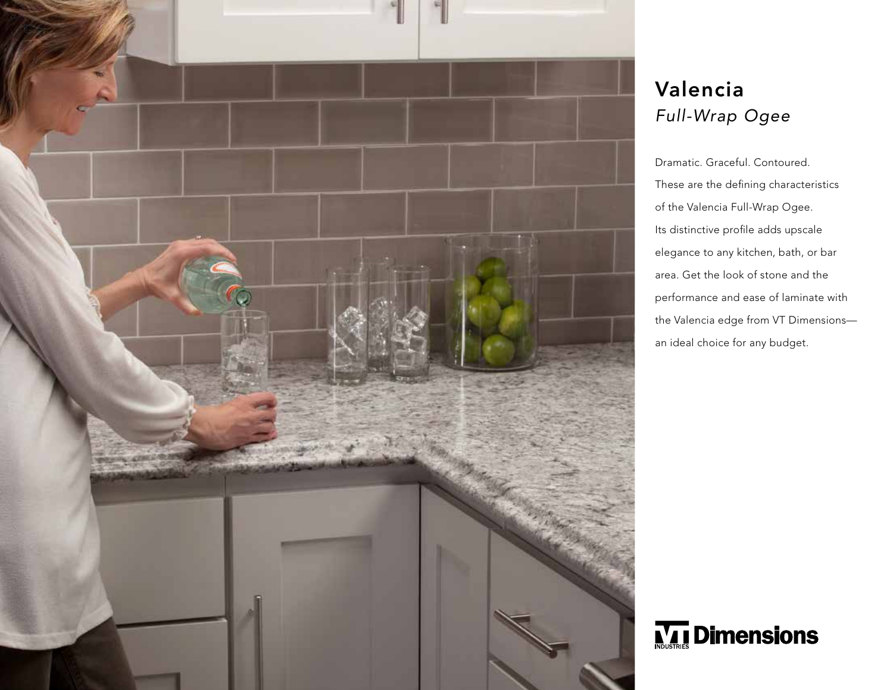

## Valencia *Full-Wrap Ogee*

Dramatic. Graceful. Contoured. These are the defining characteristics of the Valencia Full-Wrap Ogee. Its distinctive profile adds upscale elegance to any kitchen, bath, or bar area. Get the look of stone and the performance and ease of laminate with the Valencia edge from VT Dimensions an ideal choice for any budget.